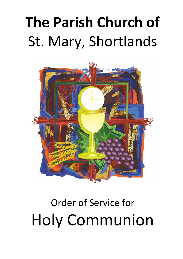# **The Parish Church of** St. Mary, Shortlands



# Order of Service for Holy Communion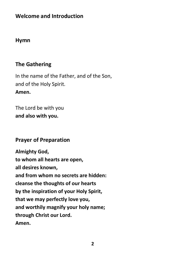# **Welcome and Introduction**

#### **Hymn**

#### **The Gathering**

In the name of the Father, and of the Son, and of the Holy Spirit. **Amen.**

The Lord be with you **and also with you.**

#### **Prayer of Preparation**

**Almighty God, to whom all hearts are open, all desires known, and from whom no secrets are hidden: cleanse the thoughts of our hearts by the inspiration of your Holy Spirit, that we may perfectly love you, and worthily magnify your holy name; through Christ our Lord. Amen.**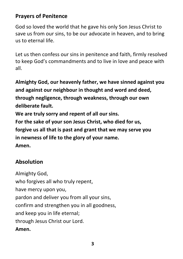# **Prayers of Penitence**

God so loved the world that he gave his only Son Jesus Christ to save us from our sins, to be our advocate in heaven, and to bring us to eternal life.

Let us then confess our sins in penitence and faith, firmly resolved to keep God's commandments and to live in love and peace with all.

**Almighty God, our heavenly father, we have sinned against you and against our neighbour in thought and word and deed, through negligence, through weakness, through our own deliberate fault.**

**We are truly sorry and repent of all our sins. For the sake of your son Jesus Christ, who died for us, forgive us all that is past and grant that we may serve you in newness of life to the glory of your name. Amen.**

# **Absolution**

Almighty God, who forgives all who truly repent, have mercy upon you, pardon and deliver you from all your sins, confirm and strengthen you in all goodness, and keep you in life eternal; through Jesus Christ our Lord. **Amen.**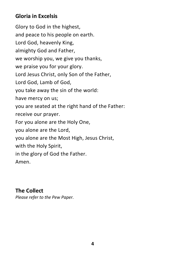# **Gloria in Excelsis**

Glory to God in the highest, and peace to his people on earth. Lord God, heavenly King, almighty God and Father, we worship you, we give you thanks, we praise you for your glory. Lord Jesus Christ, only Son of the Father, Lord God, Lamb of God, you take away the sin of the world: have mercy on us; you are seated at the right hand of the Father: receive our prayer. For you alone are the Holy One, you alone are the Lord, you alone are the Most High, Jesus Christ, with the Holy Spirit, in the glory of God the Father. Amen.

#### **The Collect**  *Please refer to the Pew Paper.*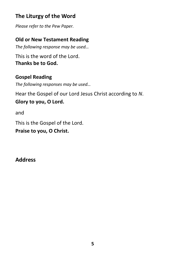# **The Liturgy of the Word**

*Please refer to the Pew Paper.*

## **Old or New Testament Reading**

*The following response may be used…*

This is the word of the Lord. **Thanks be to God.**

# **Gospel Reading**

*The following responses may be used…*

Hear the Gospel of our Lord Jesus Christ according to *N*. **Glory to you, O Lord.**

and

This is the Gospel of the Lord.

**Praise to you, O Christ.**

**Address**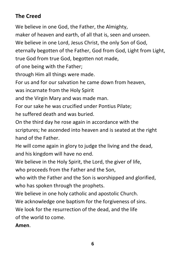# **The Creed**

We believe in one God, the Father, the Almighty,

maker of heaven and earth, of all that is, seen and unseen.

We believe in one Lord, Jesus Christ, the only Son of God,

eternally begotten of the Father, God from God, Light from Light, true God from true God, begotten not made,

of one being with the Father;

through Him all things were made.

For us and for our salvation he came down from heaven,

was incarnate from the Holy Spirit

and the Virgin Mary and was made man.

For our sake he was crucified under Pontius Pilate;

he suffered death and was buried.

On the third day he rose again in accordance with the scriptures; he ascended into heaven and is seated at the right hand of the Father.

He will come again in glory to judge the living and the dead, and his kingdom will have no end.

We believe in the Holy Spirit, the Lord, the giver of life,

who proceeds from the Father and the Son,

who with the Father and the Son is worshipped and glorified. who has spoken through the prophets.

We believe in one holy catholic and apostolic Church.

We acknowledge one baptism for the forgiveness of sins.

We look for the resurrection of the dead, and the life of the world to come.

#### **Amen**.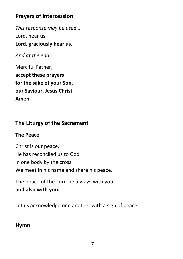# **Prayers of Intercession**

*This response may be used…* Lord, hear us. **Lord, graciously hear us.**

*And at the end*

Merciful Father, **accept these prayers for the sake of your Son, our Saviour, Jesus Christ. Amen.**

# **The Liturgy of the Sacrament**

#### **The Peace**

Christ is our peace. He has reconciled us to God in one body by the cross. We meet in his name and share his peace.

The peace of the Lord be always with you **and also with you.**

Let us acknowledge one another with a sign of peace.

# **Hymn**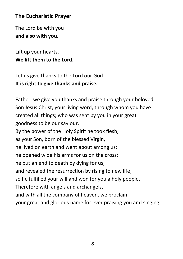# **The Eucharistic Prayer**

The Lord be with you **and also with you.**

Lift up your hearts. **We lift them to the Lord.**

Let us give thanks to the Lord our God. **It is right to give thanks and praise.**

Father, we give you thanks and praise through your beloved Son Jesus Christ, your living word, through whom you have created all things; who was sent by you in your great goodness to be our saviour.

By the power of the Holy Spirit he took flesh;

as your Son, born of the blessed Virgin,

he lived on earth and went about among us;

he opened wide his arms for us on the cross;

he put an end to death by dying for us;

and revealed the resurrection by rising to new life;

so he fulfilled your will and won for you a holy people.

Therefore with angels and archangels,

and with all the company of heaven, we proclaim

your great and glorious name for ever praising you and singing: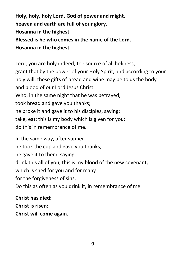**Holy, holy, holy Lord, God of power and might, heaven and earth are full of your glory. Hosanna in the highest. Blessed is he who comes in the name of the Lord. Hosanna in the highest.**

Lord, you are holy indeed, the source of all holiness; grant that by the power of your Holy Spirit, and according to your holy will, these gifts of bread and wine may be to us the body and blood of our Lord Jesus Christ. Who, in the same night that he was betrayed, took bread and gave you thanks; he broke it and gave it to his disciples, saying: take, eat; this is my body which is given for you; do this in remembrance of me.

In the same way, after supper he took the cup and gave you thanks; he gave it to them, saying: drink this all of you, this is my blood of the new covenant, which is shed for you and for many for the forgiveness of sins. Do this as often as you drink it, in remembrance of me.

**Christ has died: Christ is risen: Christ will come again.**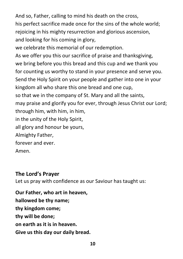And so, Father, calling to mind his death on the cross, his perfect sacrifice made once for the sins of the whole world; rejoicing in his mighty resurrection and glorious ascension, and looking for his coming in glory, we celebrate this memorial of our redemption. As we offer you this our sacrifice of praise and thanksgiving, we bring before you this bread and this cup and we thank you for counting us worthy to stand in your presence and serve you. Send the Holy Spirit on your people and gather into one in your kingdom all who share this one bread and one cup, so that we in the company of St. Mary and all the saints, may praise and glorify you for ever, through Jesus Christ our Lord; through him, with him, in him, in the unity of the Holy Spirit, all glory and honour be yours, Almighty Father, forever and ever. Amen.

#### **The Lord's Prayer**

Let us pray with confidence as our Saviour has taught us:

**Our Father, who art in heaven, hallowed be thy name; thy kingdom come; thy will be done; on earth as it is in heaven. Give us this day our daily bread.**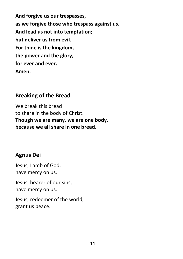**And forgive us our trespasses, as we forgive those who trespass against us. And lead us not into temptation; but deliver us from evil. For thine is the kingdom, the power and the glory, for ever and ever. Amen.**

#### **Breaking of the Bread**

We break this bread to share in the body of Christ. **Though we are many, we are one body, because we all share in one bread.**

# **Agnus Dei**

Jesus, Lamb of God, have mercy on us.

Jesus, bearer of our sins, have mercy on us.

Jesus, redeemer of the world, grant us peace.